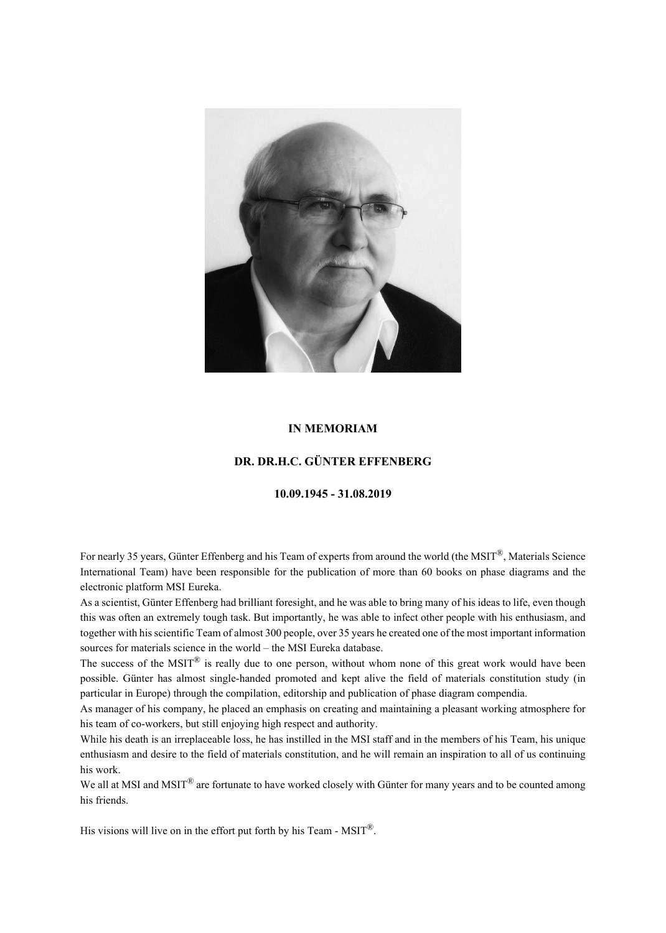

## **IN MEMORIAM**

## **DR. DR.H.C. GÜNTER EFFENBERG**

## **10.09.1945 - 31.08.2019**

For nearly 35 years, Günter Effenberg and his Team of experts from around the world (the MSIT<sup>®</sup>, Materials Science International Team) have been responsible for the publication of more than 60 books on phase diagrams and the electronic platform MSI Eureka.

As a scientist, Günter Effenberg had brilliant foresight, and he was able to bring many of his ideas to life, even though this was often an extremely tough task. But importantly, he was able to infect other people with his enthusiasm, and together with his scientific Team of almost 300 people, over 35 years he created one of the most important information sources for materials science in the world – the MSI Eureka database.

The success of the MSIT $^{\circledR}$  is really due to one person, without whom none of this great work would have been possible. Günter has almost single-handed promoted and kept alive the field of materials constitution study (in particular in Europe) through the compilation, editorship and publication of phase diagram compendia.

As manager of his company, he placed an emphasis on creating and maintaining a pleasant working atmosphere for his team of co-workers, but still enjoying high respect and authority.

While his death is an irreplaceable loss, he has instilled in the MSI staff and in the members of his Team, his unique enthusiasm and desire to the field of materials constitution, and he will remain an inspiration to all of us continuing his work.

We all at MSI and MSIT<sup>®</sup> are fortunate to have worked closely with Günter for many years and to be counted among his friends.

His visions will live on in the effort put forth by his Team - MSIT<sup>®</sup>.